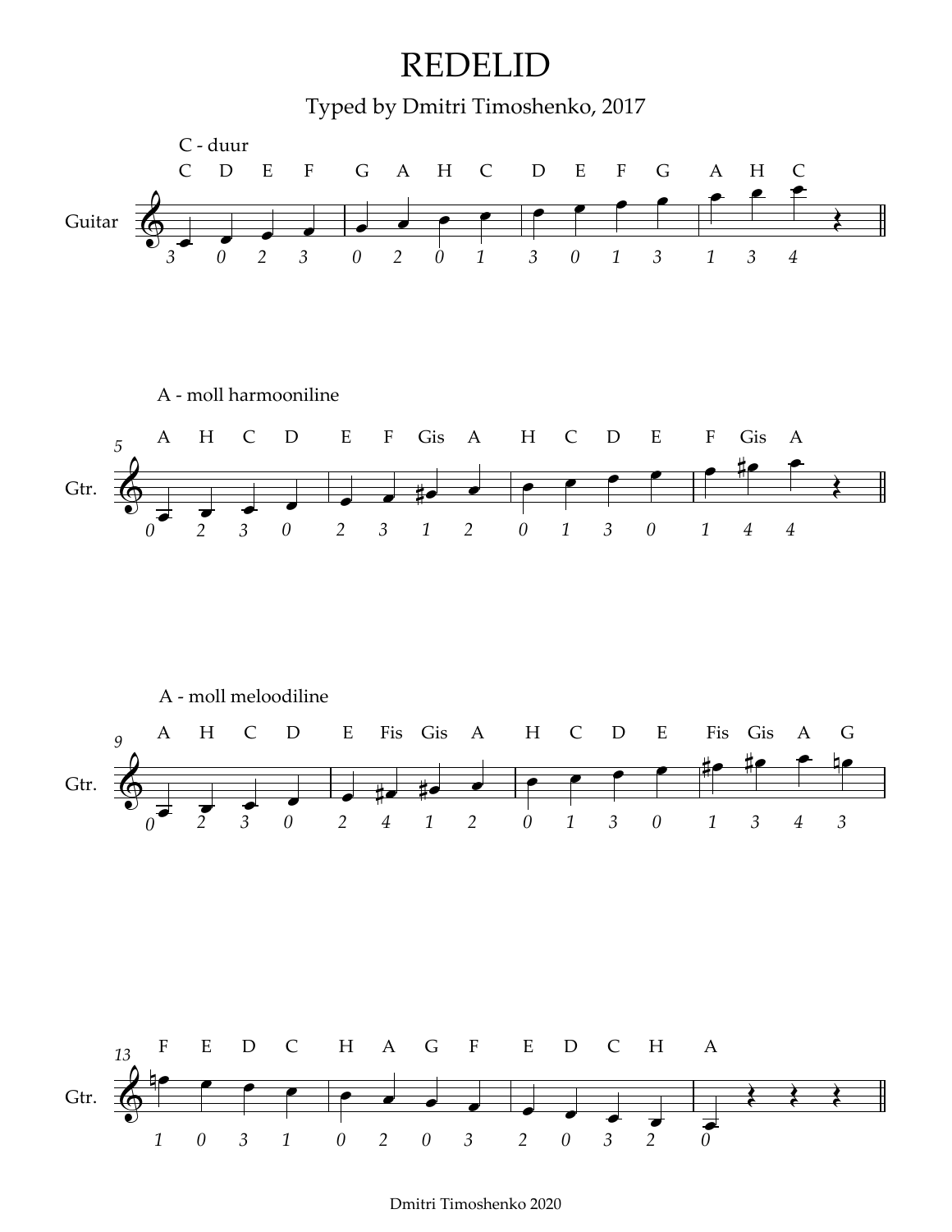

Dmitri Timoshenko 2020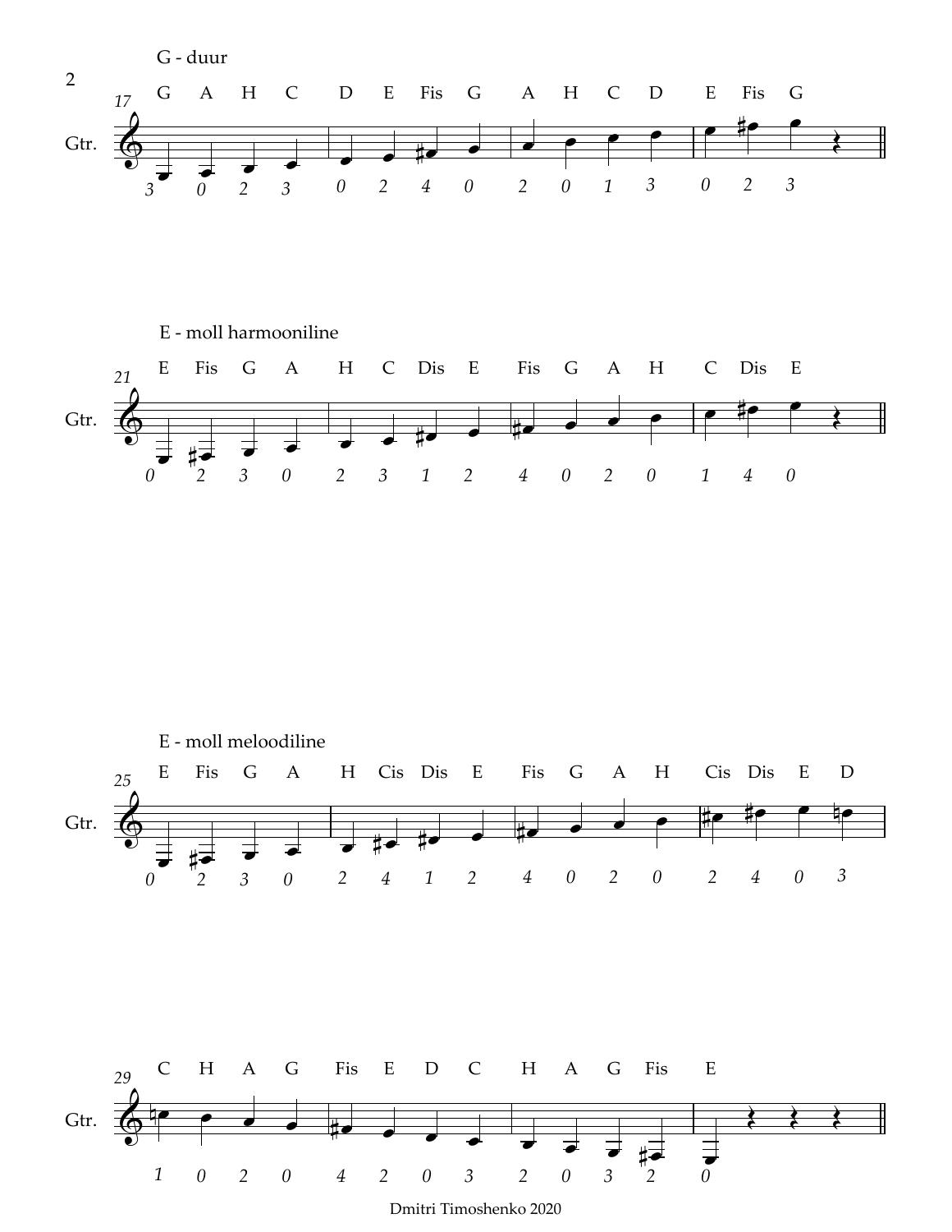